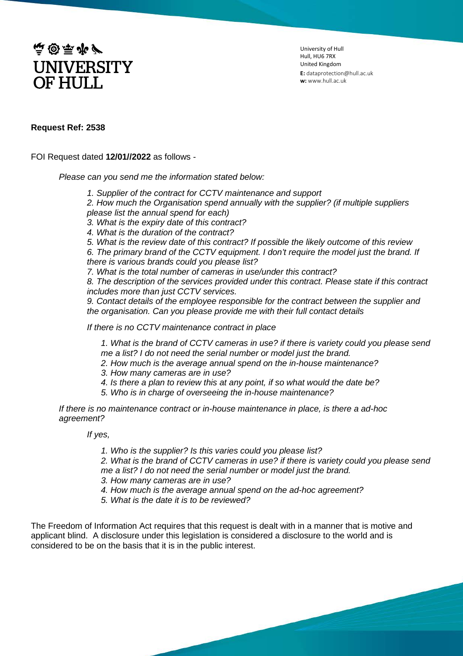

University of Hull Hull, HU6 7RX United Kingdom **E:** dataprotection@hull.ac.uk **w:** www.hull.ac.uk

## **Request Ref: 2538**

FOI Request dated **12/01//2022** as follows -

*Please can you send me the information stated below:*

*1. Supplier of the contract for CCTV maintenance and support*

*2. How much the Organisation spend annually with the supplier? (if multiple suppliers please list the annual spend for each)*

*3. What is the expiry date of this contract?*

*4. What is the duration of the contract?*

*5. What is the review date of this contract? If possible the likely outcome of this review*

*6. The primary brand of the CCTV equipment. I don't require the model just the brand. If there is various brands could you please list?*

*7. What is the total number of cameras in use/under this contract?*

*8. The description of the services provided under this contract. Please state if this contract includes more than just CCTV services.*

*9. Contact details of the employee responsible for the contract between the supplier and the organisation. Can you please provide me with their full contact details*

*If there is no CCTV maintenance contract in place*

*1. What is the brand of CCTV cameras in use? if there is variety could you please send me a list? I do not need the serial number or model just the brand.*

- *2. How much is the average annual spend on the in-house maintenance?*
- *3. How many cameras are in use?*
- *4. Is there a plan to review this at any point, if so what would the date be?*
- *5. Who is in charge of overseeing the in-house maintenance?*

*If there is no maintenance contract or in-house maintenance in place, is there a ad-hoc agreement?*

*If yes,*

*1. Who is the supplier? Is this varies could you please list?*

*2. What is the brand of CCTV cameras in use? if there is variety could you please send me a list? I do not need the serial number or model just the brand.* 

*3. How many cameras are in use?*

- *4. How much is the average annual spend on the ad-hoc agreement?*
- *5. What is the date it is to be reviewed?*

The Freedom of Information Act requires that this request is dealt with in a manner that is motive and applicant blind. A disclosure under this legislation is considered a disclosure to the world and is considered to be on the basis that it is in the public interest.